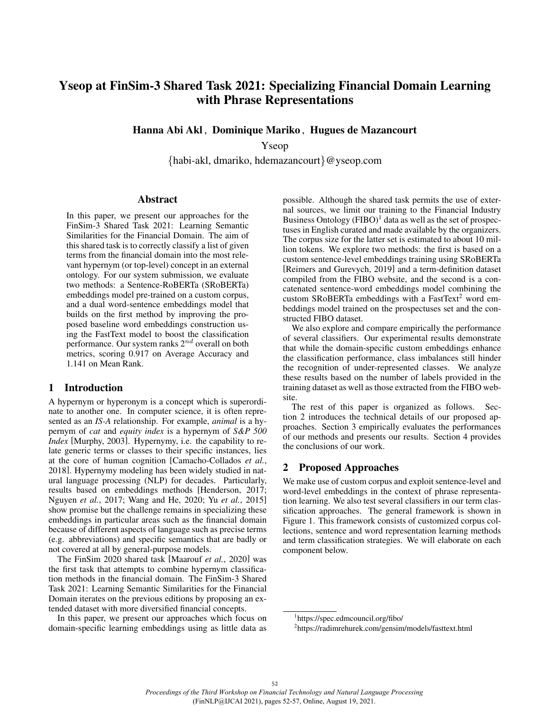# Yseop at FinSim-3 Shared Task 2021: Specializing Financial Domain Learning with Phrase Representations

Hanna Abi Akl , Dominique Mariko , Hugues de Mazancourt

Yseop

{habi-akl, dmariko, hdemazancourt}@yseop.com

#### Abstract

In this paper, we present our approaches for the FinSim-3 Shared Task 2021: Learning Semantic Similarities for the Financial Domain. The aim of this shared task is to correctly classify a list of given terms from the financial domain into the most relevant hypernym (or top-level) concept in an external ontology. For our system submission, we evaluate two methods: a Sentence-RoBERTa (SRoBERTa) embeddings model pre-trained on a custom corpus, and a dual word-sentence embeddings model that builds on the first method by improving the proposed baseline word embeddings construction using the FastText model to boost the classification performance. Our system ranks  $2^{nd}$  overall on both metrics, scoring 0.917 on Average Accuracy and 1.141 on Mean Rank.

### 1 Introduction

A hypernym or hyperonym is a concept which is superordinate to another one. In computer science, it is often represented as an *IS-A* relationship. For example, *animal* is a hypernym of *cat* and *equity index* is a hypernym of *S&P 500 Index* [Murphy, 2003]. Hypernymy, i.e. the capability to relate generic terms or classes to their specific instances, lies at the core of human cognition [Camacho-Collados *et al.*, 2018]. Hypernymy modeling has been widely studied in natural language processing (NLP) for decades. Particularly, results based on embeddings methods [Henderson, 2017; Nguyen *et al.*, 2017; Wang and He, 2020; Yu *et al.*, 2015] show promise but the challenge remains in specializing these embeddings in particular areas such as the financial domain because of different aspects of language such as precise terms (e.g. abbreviations) and specific semantics that are badly or not covered at all by general-purpose models.

The FinSim 2020 shared task [Maarouf *et al.*, 2020] was the first task that attempts to combine hypernym classification methods in the financial domain. The FinSim-3 Shared Task 2021: Learning Semantic Similarities for the Financial Domain iterates on the previous editions by proposing an extended dataset with more diversified financial concepts.

In this paper, we present our approaches which focus on domain-specific learning embeddings using as little data as possible. Although the shared task permits the use of external sources, we limit our training to the Financial Industry Business Ontology  $(FIBO)^1$  data as well as the set of prospectuses in English curated and made available by the organizers. The corpus size for the latter set is estimated to about 10 million tokens. We explore two methods: the first is based on a custom sentence-level embeddings training using SRoBERTa [Reimers and Gurevych, 2019] and a term-definition dataset compiled from the FIBO website, and the second is a concatenated sentence-word embeddings model combining the custom SRoBERTa embeddings with a FastText<sup>2</sup> word embeddings model trained on the prospectuses set and the constructed FIBO dataset.

We also explore and compare empirically the performance of several classifiers. Our experimental results demonstrate that while the domain-specific custom embeddings enhance the classification performance, class imbalances still hinder the recognition of under-represented classes. We analyze these results based on the number of labels provided in the training dataset as well as those extracted from the FIBO website.

The rest of this paper is organized as follows. Section 2 introduces the technical details of our proposed approaches. Section 3 empirically evaluates the performances of our methods and presents our results. Section 4 provides the conclusions of our work.

## 2 Proposed Approaches

We make use of custom corpus and exploit sentence-level and word-level embeddings in the context of phrase representation learning. We also test several classifiers in our term classification approaches. The general framework is shown in Figure 1. This framework consists of customized corpus collections, sentence and word representation learning methods and term classification strategies. We will elaborate on each component below.

<sup>1</sup> https://spec.edmcouncil.org/fibo/

<sup>2</sup> https://radimrehurek.com/gensim/models/fasttext.html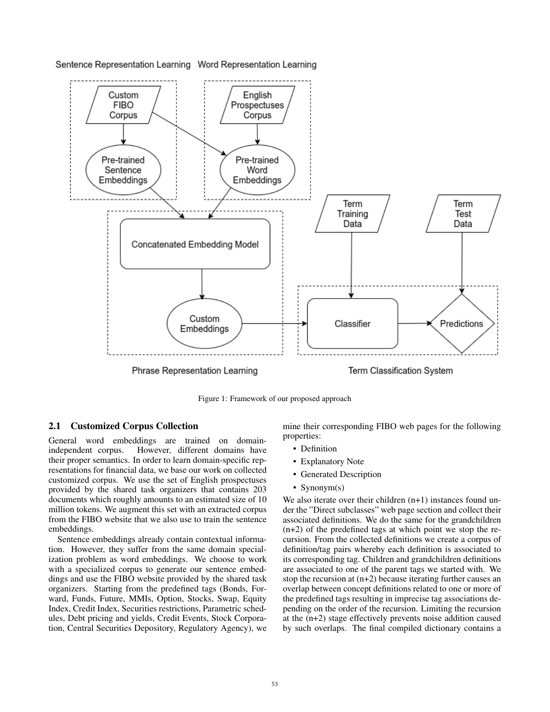

Sentence Representation Learning Word Representation Learning

Figure 1: Framework of our proposed approach

## 2.1 Customized Corpus Collection

General word embeddings are trained on domainindependent corpus. However, different domains have their proper semantics. In order to learn domain-specific representations for financial data, we base our work on collected customized corpus. We use the set of English prospectuses provided by the shared task organizers that contains 203 documents which roughly amounts to an estimated size of 10 million tokens. We augment this set with an extracted corpus from the FIBO website that we also use to train the sentence embeddings.

Sentence embeddings already contain contextual information. However, they suffer from the same domain specialization problem as word embeddings. We choose to work with a specialized corpus to generate our sentence embeddings and use the FIBO website provided by the shared task organizers. Starting from the predefined tags (Bonds, Forward, Funds, Future, MMIs, Option, Stocks, Swap, Equity Index, Credit Index, Securities restrictions, Parametric schedules, Debt pricing and yields, Credit Events, Stock Corporation, Central Securities Depository, Regulatory Agency), we mine their corresponding FIBO web pages for the following properties:

- Definition
- Explanatory Note
- Generated Description
- Synonym(s)

We also iterate over their children  $(n+1)$  instances found under the "Direct subclasses" web page section and collect their associated definitions. We do the same for the grandchildren (n+2) of the predefined tags at which point we stop the recursion. From the collected definitions we create a corpus of definition/tag pairs whereby each definition is associated to its corresponding tag. Children and grandchildren definitions are associated to one of the parent tags we started with. We stop the recursion at (n+2) because iterating further causes an overlap between concept definitions related to one or more of the predefined tags resulting in imprecise tag associations depending on the order of the recursion. Limiting the recursion at the (n+2) stage effectively prevents noise addition caused by such overlaps. The final compiled dictionary contains a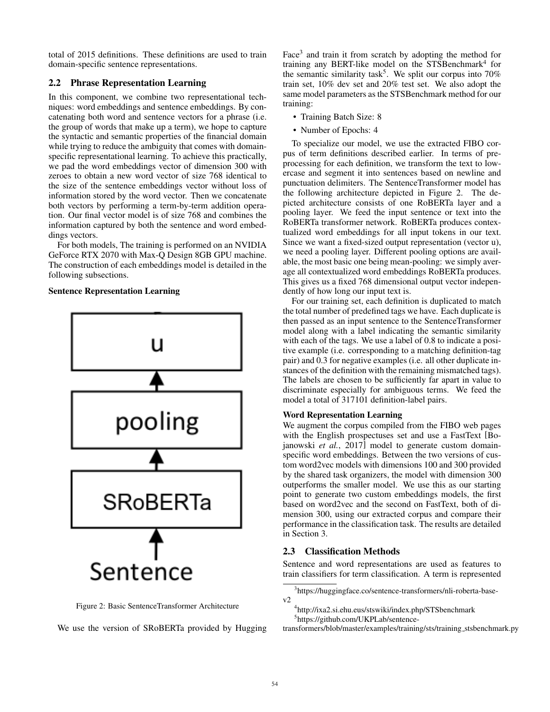total of 2015 definitions. These definitions are used to train domain-specific sentence representations.

## 2.2 Phrase Representation Learning

In this component, we combine two representational techniques: word embeddings and sentence embeddings. By concatenating both word and sentence vectors for a phrase (i.e. the group of words that make up a term), we hope to capture the syntactic and semantic properties of the financial domain while trying to reduce the ambiguity that comes with domainspecific representational learning. To achieve this practically, we pad the word embeddings vector of dimension 300 with zeroes to obtain a new word vector of size 768 identical to the size of the sentence embeddings vector without loss of information stored by the word vector. Then we concatenate both vectors by performing a term-by-term addition operation. Our final vector model is of size 768 and combines the information captured by both the sentence and word embeddings vectors.

For both models, The training is performed on an NVIDIA GeForce RTX 2070 with Max-Q Design 8GB GPU machine. The construction of each embeddings model is detailed in the following subsections.

#### Sentence Representation Learning



Figure 2: Basic SentenceTransformer Architecture

We use the version of SRoBERTa provided by Hugging

Face<sup>3</sup> and train it from scratch by adopting the method for training any BERT-like model on the STSBenchmark<sup>4</sup> for the semantic similarity task<sup>5</sup>. We split our corpus into  $70\%$ train set, 10% dev set and 20% test set. We also adopt the same model parameters as the STSBenchmark method for our training:

- Training Batch Size: 8
- Number of Epochs: 4

To specialize our model, we use the extracted FIBO corpus of term definitions described earlier. In terms of preprocessing for each definition, we transform the text to lowercase and segment it into sentences based on newline and punctuation delimiters. The SentenceTransformer model has the following architecture depicted in Figure 2. The depicted architecture consists of one RoBERTa layer and a pooling layer. We feed the input sentence or text into the RoBERTa transformer network. RoBERTa produces contextualized word embeddings for all input tokens in our text. Since we want a fixed-sized output representation (vector u), we need a pooling layer. Different pooling options are available, the most basic one being mean-pooling: we simply average all contextualized word embeddings RoBERTa produces. This gives us a fixed 768 dimensional output vector independently of how long our input text is.

For our training set, each definition is duplicated to match the total number of predefined tags we have. Each duplicate is then passed as an input sentence to the SentenceTransformer model along with a label indicating the semantic similarity with each of the tags. We use a label of 0.8 to indicate a positive example (i.e. corresponding to a matching definition-tag pair) and 0.3 for negative examples (i.e. all other duplicate instances of the definition with the remaining mismatched tags). The labels are chosen to be sufficiently far apart in value to discriminate especially for ambiguous terms. We feed the model a total of 317101 definition-label pairs.

## Word Representation Learning

We augment the corpus compiled from the FIBO web pages with the English prospectuses set and use a FastText [Bojanowski et al., 2017] model to generate custom domainspecific word embeddings. Between the two versions of custom word2vec models with dimensions 100 and 300 provided by the shared task organizers, the model with dimension 300 outperforms the smaller model. We use this as our starting point to generate two custom embeddings models, the first based on word2vec and the second on FastText, both of dimension 300, using our extracted corpus and compare their performance in the classification task. The results are detailed in Section 3.

#### 2.3 Classification Methods

Sentence and word representations are used as features to train classifiers for term classification. A term is represented

<sup>3</sup> https://huggingface.co/sentence-transformers/nli-roberta-basev2

<sup>4</sup> http://ixa2.si.ehu.eus/stswiki/index.php/STSbenchmark 5 https://github.com/UKPLab/sentence-

transformers/blob/master/examples/training/sts/training stsbenchmark.py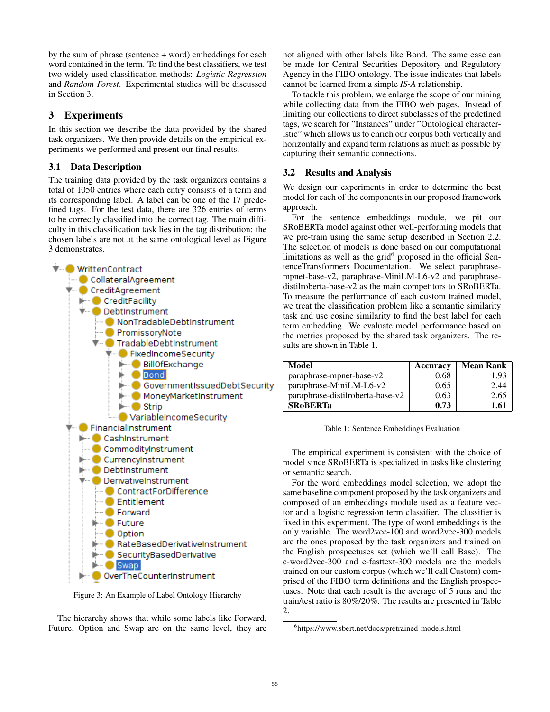by the sum of phrase (sentence + word) embeddings for each word contained in the term. To find the best classifiers, we test two widely used classification methods: *Logistic Regression* and *Random Forest*. Experimental studies will be discussed in Section 3.

## 3 Experiments

In this section we describe the data provided by the shared task organizers. We then provide details on the empirical experiments we performed and present our final results.

## 3.1 Data Description

The training data provided by the task organizers contains a total of 1050 entries where each entry consists of a term and its corresponding label. A label can be one of the 17 predefined tags. For the test data, there are 326 entries of terms to be correctly classified into the correct tag. The main difficulty in this classification task lies in the tag distribution: the chosen labels are not at the same ontological level as Figure 3 demonstrates.



Figure 3: An Example of Label Ontology Hierarchy

The hierarchy shows that while some labels like Forward, Future, Option and Swap are on the same level, they are not aligned with other labels like Bond. The same case can be made for Central Securities Depository and Regulatory Agency in the FIBO ontology. The issue indicates that labels cannot be learned from a simple *IS-A* relationship.

To tackle this problem, we enlarge the scope of our mining while collecting data from the FIBO web pages. Instead of limiting our collections to direct subclasses of the predefined tags, we search for "Instances" under "Ontological characteristic" which allows us to enrich our corpus both vertically and horizontally and expand term relations as much as possible by capturing their semantic connections.

# 3.2 Results and Analysis

We design our experiments in order to determine the best model for each of the components in our proposed framework approach.

For the sentence embeddings module, we pit our SRoBERTa model against other well-performing models that we pre-train using the same setup described in Section 2.2. The selection of models is done based on our computational limitations as well as the grid<sup>6</sup> proposed in the official SentenceTransformers Documentation. We select paraphrasempnet-base-v2, paraphrase-MiniLM-L6-v2 and paraphrasedistilroberta-base-v2 as the main competitors to SRoBERTa. To measure the performance of each custom trained model, we treat the classification problem like a semantic similarity task and use cosine similarity to find the best label for each term embedding. We evaluate model performance based on the metrics proposed by the shared task organizers. The results are shown in Table 1.

| Model                            | Accuracy | <b>Mean Rank</b> |
|----------------------------------|----------|------------------|
| paraphrase-mpnet-base-v2         | 0.68     | 1.93             |
| paraphrase-MiniLM-L6-v2          | 0.65     | 2.44             |
| paraphrase-distilroberta-base-v2 | 0.63     | 2.65             |
| <b>SRoBERTa</b>                  | 0.73     | 1.61             |

Table 1: Sentence Embeddings Evaluation

The empirical experiment is consistent with the choice of model since SRoBERTa is specialized in tasks like clustering or semantic search.

For the word embeddings model selection, we adopt the same baseline component proposed by the task organizers and composed of an embeddings module used as a feature vector and a logistic regression term classifier. The classifier is fixed in this experiment. The type of word embeddings is the only variable. The word2vec-100 and word2vec-300 models are the ones proposed by the task organizers and trained on the English prospectuses set (which we'll call Base). The c-word2vec-300 and c-fasttext-300 models are the models trained on our custom corpus (which we'll call Custom) comprised of the FIBO term definitions and the English prospectuses. Note that each result is the average of 5 runs and the train/test ratio is 80%/20%. The results are presented in Table 2.

<sup>6</sup> https://www.sbert.net/docs/pretrained models.html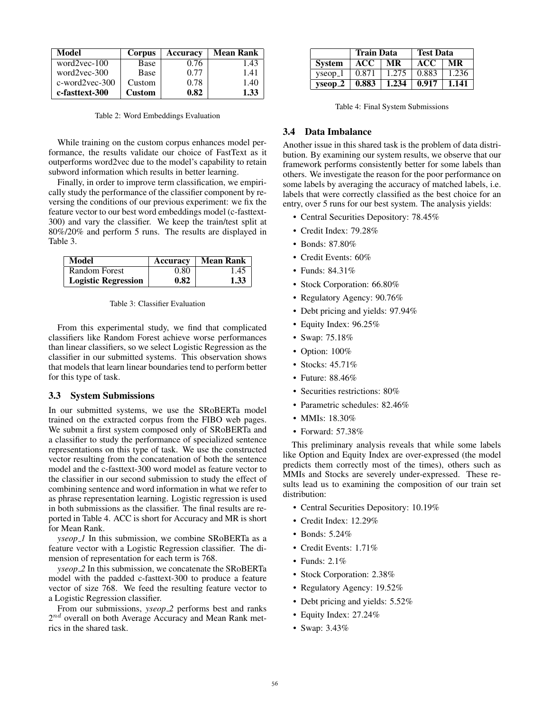| Model                    | Corpus        | Accuracy | <b>Mean Rank</b> |
|--------------------------|---------------|----------|------------------|
| word $2$ vec- $100$      | Base          | 0.76     | 1.43             |
| word $2$ vec- $300$      | Base          | 0.77     | 1.41             |
| $c$ -word $2$ vec- $300$ | Custom        | 0.78     | 1.40             |
| c-fasttext-300           | <b>Custom</b> | 0.82     | 1.33             |

Table 2: Word Embeddings Evaluation

While training on the custom corpus enhances model performance, the results validate our choice of FastText as it outperforms word2vec due to the model's capability to retain subword information which results in better learning.

Finally, in order to improve term classification, we empirically study the performance of the classifier component by reversing the conditions of our previous experiment: we fix the feature vector to our best word embeddings model (c-fasttext-300) and vary the classifier. We keep the train/test split at 80%/20% and perform 5 runs. The results are displayed in Table 3.

| Model                      | Accuracy | Mean Rank |
|----------------------------|----------|-----------|
| Random Forest              | 0.80     | 1.45      |
| <b>Logistic Regression</b> | 0.82     | 1.33      |

From this experimental study, we find that complicated classifiers like Random Forest achieve worse performances than linear classifiers, so we select Logistic Regression as the classifier in our submitted systems. This observation shows that models that learn linear boundaries tend to perform better for this type of task.

#### 3.3 System Submissions

In our submitted systems, we use the SRoBERTa model trained on the extracted corpus from the FIBO web pages. We submit a first system composed only of SRoBERTa and a classifier to study the performance of specialized sentence representations on this type of task. We use the constructed vector resulting from the concatenation of both the sentence model and the c-fasttext-300 word model as feature vector to the classifier in our second submission to study the effect of combining sentence and word information in what we refer to as phrase representation learning. Logistic regression is used in both submissions as the classifier. The final results are reported in Table 4. ACC is short for Accuracy and MR is short for Mean Rank.

*yseop 1* In this submission, we combine SRoBERTa as a feature vector with a Logistic Regression classifier. The dimension of representation for each term is 768.

*yseop 2* In this submission, we concatenate the SRoBERTa model with the padded c-fasttext-300 to produce a feature vector of size 768. We feed the resulting feature vector to a Logistic Regression classifier.

From our submissions, *yseop*<sub>2</sub> performs best and ranks  $2^{nd}$  overall on both Average Accuracy and Mean Rank metrics in the shared task.

|                        | <b>Train Data</b> |       | <b>Test Data</b> |       |
|------------------------|-------------------|-------|------------------|-------|
| <b>System</b>          | ACC.              | MR    | <b>ACC</b>       | MR    |
| $v$ seop <sub>-1</sub> | 0.871             | 1.275 | 0.883            | 1.236 |
| $v$ seop $\mathbf{-2}$ | 0.883             | 1.234 | 0.917            | 1.141 |

Table 4: Final System Submissions

#### 3.4 Data Imbalance

Another issue in this shared task is the problem of data distribution. By examining our system results, we observe that our framework performs consistently better for some labels than others. We investigate the reason for the poor performance on some labels by averaging the accuracy of matched labels, i.e. labels that were correctly classified as the best choice for an entry, over 5 runs for our best system. The analysis yields:

- Central Securities Depository: 78.45%
- Credit Index: 79.28%
- Bonds: 87.80%
- Credit Events: 60%
- Funds: 84.31%
- Stock Corporation: 66.80%
- Regulatory Agency: 90.76%
- Debt pricing and yields: 97.94%
- Equity Index: 96.25%
- Swap: 75.18%
- Option: 100%
- Stocks: 45.71%
- Future: 88.46%
- Securities restrictions: 80%
- Parametric schedules: 82.46%
- MMIs: 18.30%
- Forward: 57.38%

This preliminary analysis reveals that while some labels like Option and Equity Index are over-expressed (the model predicts them correctly most of the times), others such as MMIs and Stocks are severely under-expressed. These results lead us to examining the composition of our train set distribution:

- Central Securities Depository: 10.19%
- Credit Index: 12.29%
- Bonds: 5.24%
- Credit Events: 1.71%
- Funds: 2.1%
- Stock Corporation: 2.38%
- Regulatory Agency: 19.52%
- Debt pricing and yields: 5.52%
- Equity Index: 27.24%
- Swap: 3.43%